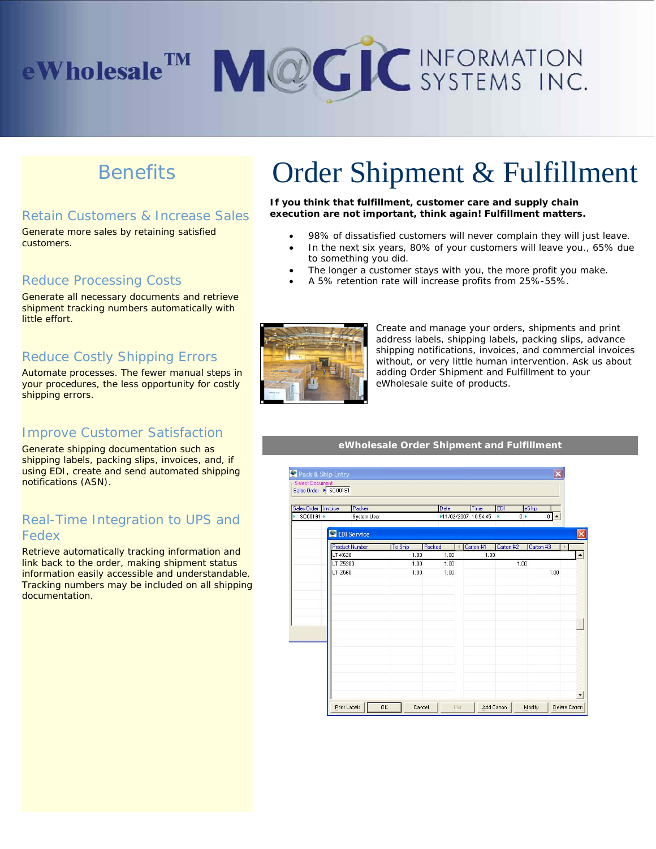# **eWholesale<sup>TM</sup> MCGIC** INFORMATION

# **Benefits**

# Retain Customers & Increase Sales

Generate more sales by retaining satisfied customers.

#### Reduce Processing Costs

Generate all necessary documents and retrieve shipment tracking numbers automatically with little effort.

### Reduce Costly Shipping Errors

Automate processes. The fewer manual steps in your procedures, the less opportunity for costly shipping errors.

## Improve Customer Satisfaction

Generate shipping documentation such as shipping labels, packing slips, invoices, and, if using EDI, create and send automated shipping notifications (ASN).

# Real-Time Integration to UPS and Fedex

Retrieve automatically tracking information and link back to the order, making shipment status information easily accessible and understandable. Tracking numbers may be included on all shipping documentation.

# Order Shipment & Fulfillment

**If you think that fulfillment, customer care and supply chain execution are not important, think again! Fulfillment matters.**

- 98% of dissatisfied customers will never complain they will just leave.
- In the next six years, 80% of your customers will leave you., 65% due to something you did.
- The longer a customer stays with you, the more profit you make.
- A 5% retention rate will increase profits from 25%-55%.



 $\frac{1}{2}$ 

Create and manage your orders, shipments and print address labels, shipping labels, packing slips, advance shipping notifications, invoices, and commercial invoices without, or very little human intervention. Ask us about adding Order Shipment and Fulfillment to your eWholesale suite of products.

#### **eWholesale Order Shipment and Fulfillment**

| ales Order Invoice<br>SO00191 > | Packer<br>System User |              | Date<br>▶11/02/2007 10:54:45 |           | <b>EDI</b><br>$0+$<br>× | eShip<br>$\mathbf 0$ |
|---------------------------------|-----------------------|--------------|------------------------------|-----------|-------------------------|----------------------|
|                                 | <b>EDI Service</b>    |              |                              |           |                         |                      |
|                                 | <b>Product Number</b> | To Ship      | Packed                       | Carton #1 | Carton #2               | Carton #3            |
|                                 | LT-X620<br>LT-Z5300   | 1.00<br>1.00 | 1.00<br>1.00                 | 1.00      | 1.00                    |                      |
|                                 | LT-Z560               | 1.00         | 1.00                         |           |                         | 1.00                 |
|                                 |                       |              |                              |           |                         |                      |
|                                 |                       |              |                              |           |                         |                      |
|                                 |                       |              |                              |           |                         |                      |
|                                 |                       |              |                              |           |                         |                      |
|                                 |                       |              |                              |           |                         |                      |
|                                 |                       |              |                              |           |                         |                      |
|                                 |                       |              |                              |           |                         |                      |
|                                 |                       |              |                              |           |                         |                      |
|                                 |                       |              |                              |           |                         |                      |